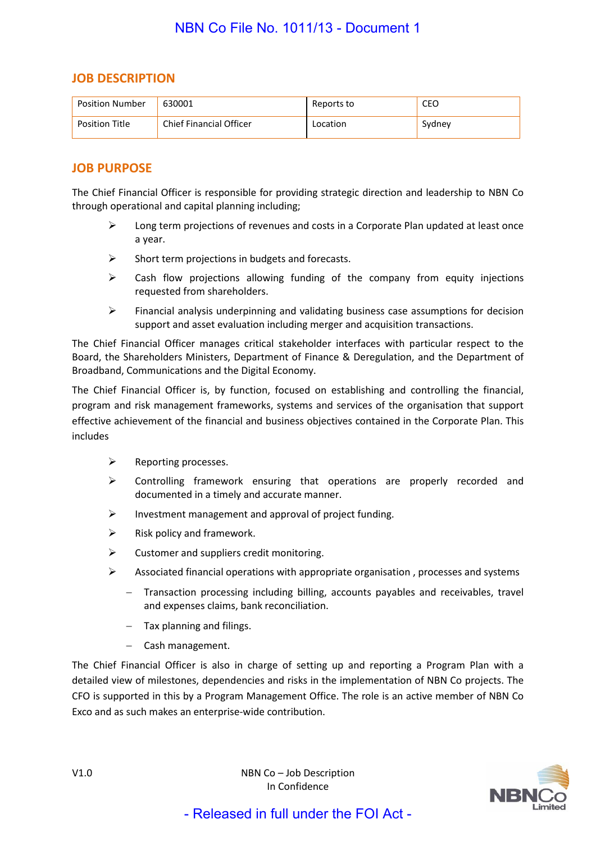### **JOB DESCRIPTION**

| <b>Position Number</b> | 630001                         | Reports to | CEO    |
|------------------------|--------------------------------|------------|--------|
| <b>Position Title</b>  | <b>Chief Financial Officer</b> | Location   | Sydney |

### **JOB PURPOSE**

The Chief Financial Officer is responsible for providing strategic direction and leadership to NBN Co through operational and capital planning including;

- $\triangleright$  Long term projections of revenues and costs in a Corporate Plan updated at least once a year.
- $\triangleright$  Short term projections in budgets and forecasts.
- $\triangleright$  Cash flow projections allowing funding of the company from equity injections requested from shareholders.
- $\triangleright$  Financial analysis underpinning and validating business case assumptions for decision support and asset evaluation including merger and acquisition transactions.

The Chief Financial Officer manages critical stakeholder interfaces with particular respect to the Board, the Shareholders Ministers, Department of Finance & Deregulation, and the Department of Broadband, Communications and the Digital Economy.

The Chief Financial Officer is, by function, focused on establishing and controlling the financial, program and risk management frameworks, systems and services of the organisation that support effective achievement of the financial and business objectives contained in the Corporate Plan. This includes

- $\triangleright$  Reporting processes.
- Controlling framework ensuring that operations are properly recorded and documented in a timely and accurate manner.
- $\triangleright$  Investment management and approval of project funding.
- $\triangleright$  Risk policy and framework.
- $\triangleright$  Customer and suppliers credit monitoring.
- $\triangleright$  Associated financial operations with appropriate organisation, processes and systems
	- − Transaction processing including billing, accounts payables and receivables, travel and expenses claims, bank reconciliation.
		- − Tax planning and filings.
		- − Cash management.

The Chief Financial Officer is also in charge of setting up and reporting a Program Plan with a detailed view of milestones, dependencies and risks in the implementation of NBN Co projects. The CFO is supported in this by a Program Management Office. The role is an active member of NBN Co Exco and as such makes an enterprise-wide contribution.

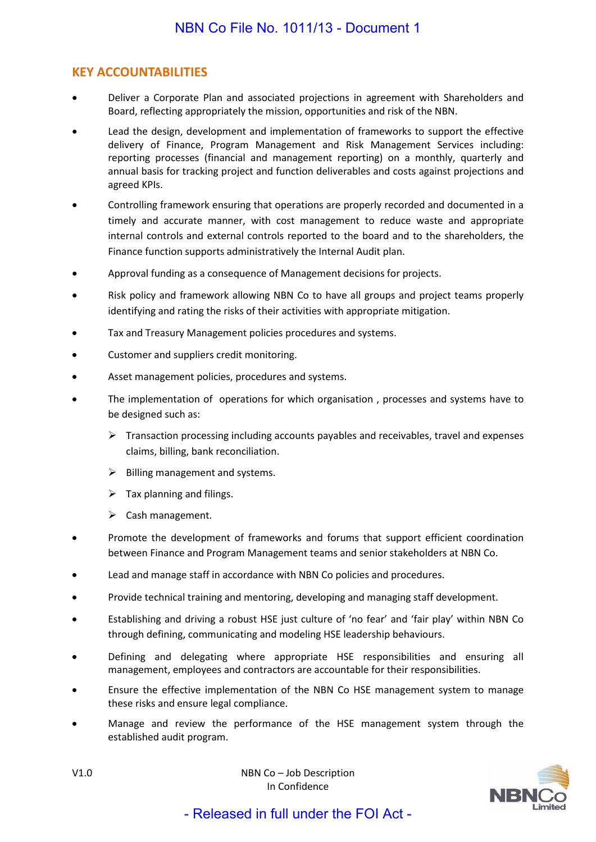# **KEY ACCOUNTABILITIES**

- Deliver a Corporate Plan and associated projections in agreement with Shareholders and Board, reflecting appropriately the mission, opportunities and risk of the NBN.
- Lead the design, development and implementation of frameworks to support the effective delivery of Finance, Program Management and Risk Management Services including: reporting processes (financial and management reporting) on a monthly, quarterly and annual basis for tracking project and function deliverables and costs against projections and agreed KPIs.
- Controlling framework ensuring that operations are properly recorded and documented in a timely and accurate manner, with cost management to reduce waste and appropriate internal controls and external controls reported to the board and to the shareholders, the Finance function supports administratively the Internal Audit plan.
- Approval funding as a consequence of Management decisions for projects.
- Risk policy and framework allowing NBN Co to have all groups and project teams properly identifying and rating the risks of their activities with appropriate mitigation.
- Tax and Treasury Management policies procedures and systems.
- Customer and suppliers credit monitoring.
- Asset management policies, procedures and systems.
- The implementation of operations for which organisation, processes and systems have to be designed such as:
	- $\triangleright$  Transaction processing including accounts payables and receivables, travel and expenses claims, billing, bank reconciliation.
	- $\triangleright$  Billing management and systems.
	- $\triangleright$  Tax planning and filings.
	- $\triangleright$  Cash management.
- Promote the development of frameworks and forums that support efficient coordination between Finance and Program Management teams and senior stakeholders at NBN Co.
- Lead and manage staff in accordance with NBN Co policies and procedures.
- Provide technical training and mentoring, developing and managing staff development.
- Establishing and driving a robust HSE just culture of 'no fear' and 'fair play' within NBN Co through defining, communicating and modeling HSE leadership behaviours.
- Defining and delegating where appropriate HSE responsibilities and ensuring all management, employees and contractors are accountable for their responsibilities.
- Ensure the effective implementation of the NBN Co HSE management system to manage these risks and ensure legal compliance.
- Manage and review the performance of the HSE management system through the established audit program.



V1.0 NBN Co – Job Description In Confidence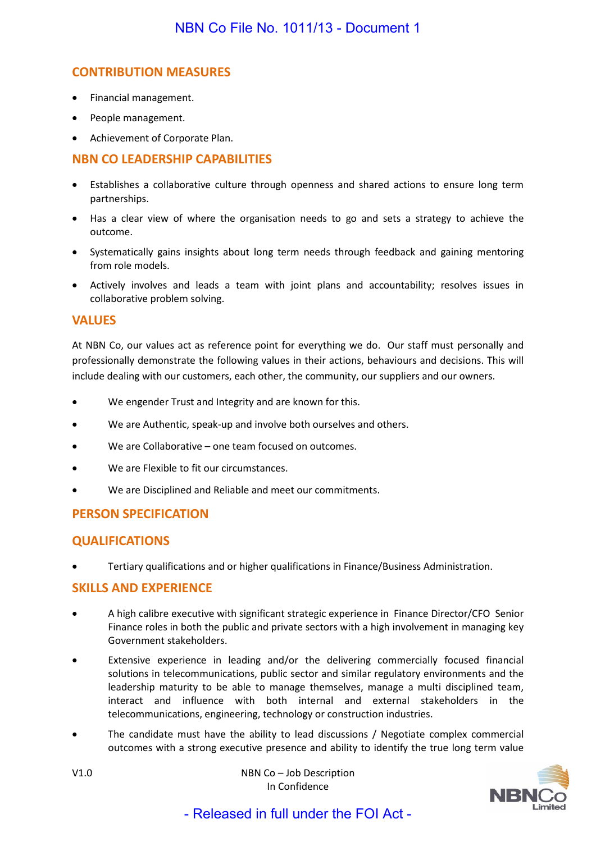# **CONTRIBUTION MEASURES**

- Financial management.
- People management.
- Achievement of Corporate Plan.

### **NBN CO LEADERSHIP CAPABILITIES**

- Establishes a collaborative culture through openness and shared actions to ensure long term partnerships.
- Has a clear view of where the organisation needs to go and sets a strategy to achieve the outcome.
- Systematically gains insights about long term needs through feedback and gaining mentoring from role models.
- Actively involves and leads a team with joint plans and accountability; resolves issues in collaborative problem solving.

### **VALUES**

At NBN Co, our values act as reference point for everything we do. Our staff must personally and professionally demonstrate the following values in their actions, behaviours and decisions. This will include dealing with our customers, each other, the community, our suppliers and our owners.

- We engender Trust and Integrity and are known for this.
- We are Authentic, speak-up and involve both ourselves and others.
- We are Collaborative one team focused on outcomes.
- We are Flexible to fit our circumstances.
- We are Disciplined and Reliable and meet our commitments.

# **PERSON SPECIFICATION**

# **QUALIFICATIONS**

• Tertiary qualifications and or higher qualifications in Finance/Business Administration.

### **SKILLS AND EXPERIENCE**

- A high calibre executive with significant strategic experience in Finance Director/CFO Senior Finance roles in both the public and private sectors with a high involvement in managing key Government stakeholders.
- Extensive experience in leading and/or the delivering commercially focused financial solutions in telecommunications, public sector and similar regulatory environments and the leadership maturity to be able to manage themselves, manage a multi disciplined team, interact and influence with both internal and external stakeholders in the telecommunications, engineering, technology or construction industries.
- The candidate must have the ability to lead discussions / Negotiate complex commercial outcomes with a strong executive presence and ability to identify the true long term value

V1.0 NBN Co – Job Description In Confidence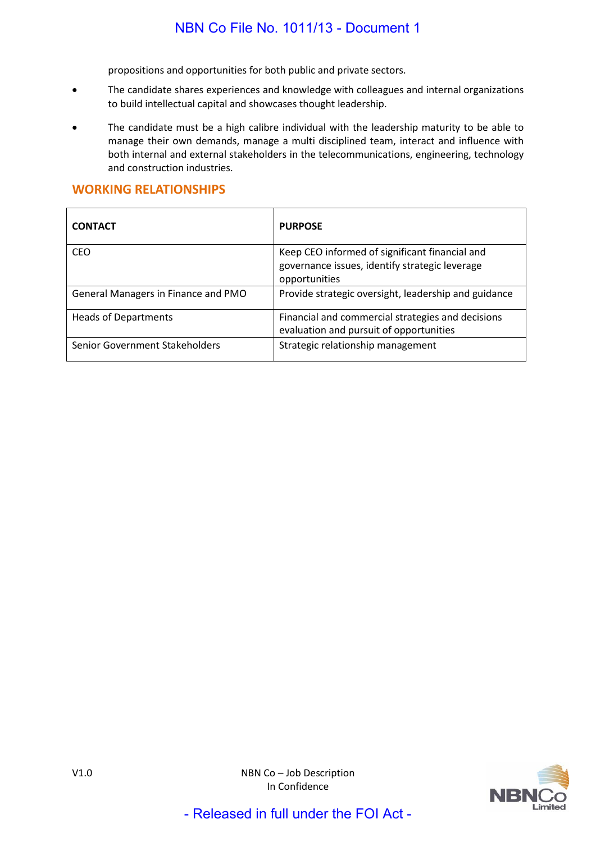propositions and opportunities for both public and private sectors.

- The candidate shares experiences and knowledge with colleagues and internal organizations to build intellectual capital and showcases thought leadership.
- The candidate must be a high calibre individual with the leadership maturity to be able to manage their own demands, manage a multi disciplined team, interact and influence with both internal and external stakeholders in the telecommunications, engineering, technology and construction industries.

### **WORKING RELATIONSHIPS**

| <b>CONTACT</b>                      | <b>PURPOSE</b>                                                                                                    |
|-------------------------------------|-------------------------------------------------------------------------------------------------------------------|
| <b>CEO</b>                          | Keep CEO informed of significant financial and<br>governance issues, identify strategic leverage<br>opportunities |
| General Managers in Finance and PMO | Provide strategic oversight, leadership and guidance                                                              |
| <b>Heads of Departments</b>         | Financial and commercial strategies and decisions<br>evaluation and pursuit of opportunities                      |
| Senior Government Stakeholders      | Strategic relationship management                                                                                 |

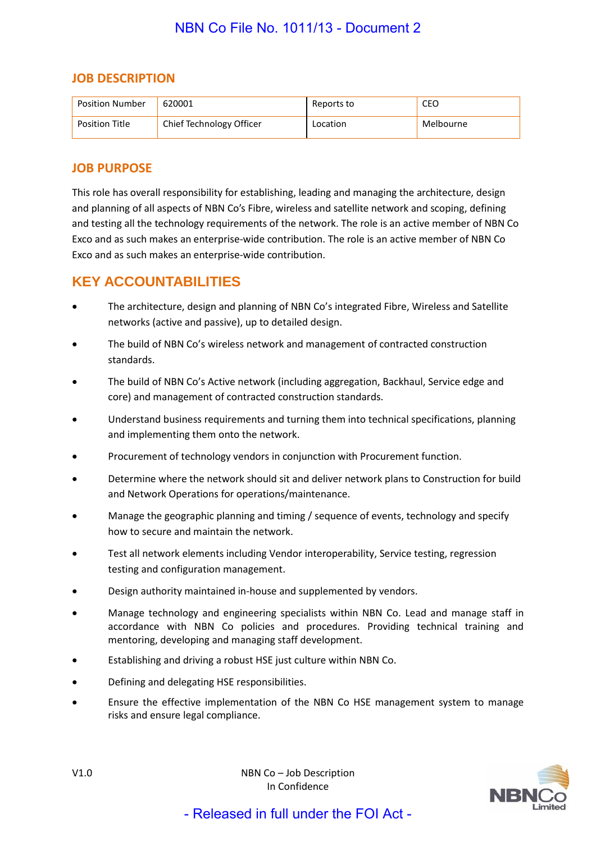# **JOB DESCRIPTION**

| <b>Position Number</b> | 620001                   | Reports to | CEO       |
|------------------------|--------------------------|------------|-----------|
| <b>Position Title</b>  | Chief Technology Officer | Location   | Melbourne |

# **JOB PURPOSE**

This role has overall responsibility for establishing, leading and managing the architecture, design and planning of all aspects of NBN Co's Fibre, wireless and satellite network and scoping, defining and testing all the technology requirements of the network. The role is an active member of NBN Co Exco and as such makes an enterprise-wide contribution. The role is an active member of NBN Co Exco and as such makes an enterprise-wide contribution.

# **KEY ACCOUNTABILITIES**

- The architecture, design and planning of NBN Co's integrated Fibre, Wireless and Satellite networks (active and passive), up to detailed design.
- The build of NBN Co's wireless network and management of contracted construction standards.
- The build of NBN Co's Active network (including aggregation, Backhaul, Service edge and core) and management of contracted construction standards.
- Understand business requirements and turning them into technical specifications, planning and implementing them onto the network.
- Procurement of technology vendors in conjunction with Procurement function.
- Determine where the network should sit and deliver network plans to Construction for build and Network Operations for operations/maintenance.
- Manage the geographic planning and timing / sequence of events, technology and specify how to secure and maintain the network.
- Test all network elements including Vendor interoperability, Service testing, regression testing and configuration management.
- Design authority maintained in-house and supplemented by vendors.
- Manage technology and engineering specialists within NBN Co. Lead and manage staff in accordance with NBN Co policies and procedures. Providing technical training and mentoring, developing and managing staff development.
- Establishing and driving a robust HSE just culture within NBN Co.
- Defining and delegating HSE responsibilities.
- Ensure the effective implementation of the NBN Co HSE management system to manage risks and ensure legal compliance.

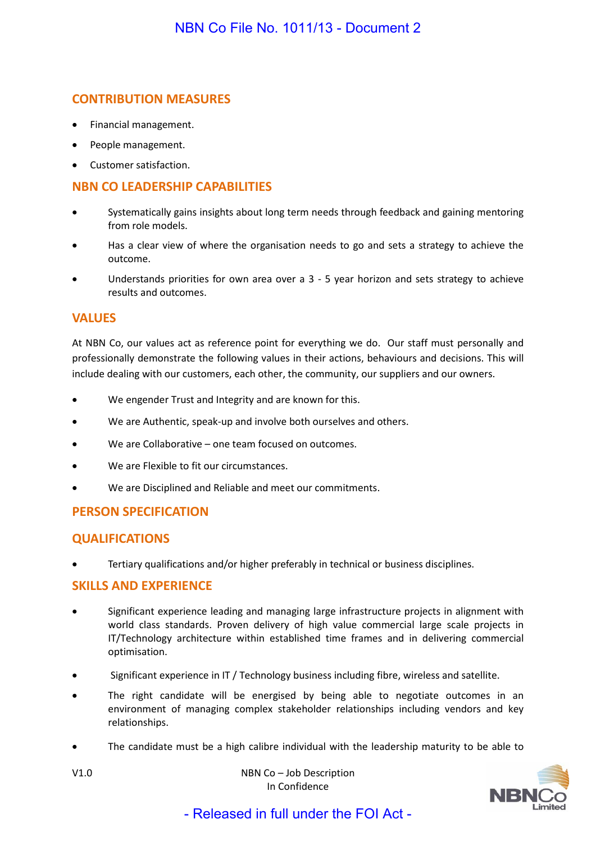# **CONTRIBUTION MEASURES**

- Financial management.
- People management.
- Customer satisfaction.

# **NBN CO LEADERSHIP CAPABILITIES**

- Systematically gains insights about long term needs through feedback and gaining mentoring from role models.
- Has a clear view of where the organisation needs to go and sets a strategy to achieve the outcome.
- Understands priorities for own area over a 3 5 year horizon and sets strategy to achieve results and outcomes.

### **VALUES**

At NBN Co, our values act as reference point for everything we do. Our staff must personally and professionally demonstrate the following values in their actions, behaviours and decisions. This will include dealing with our customers, each other, the community, our suppliers and our owners.

- We engender Trust and Integrity and are known for this.
- We are Authentic, speak-up and involve both ourselves and others.
- We are Collaborative one team focused on outcomes.
- We are Flexible to fit our circumstances.
- We are Disciplined and Reliable and meet our commitments.

### **PERSON SPECIFICATION**

### **QUALIFICATIONS**

• Tertiary qualifications and/or higher preferably in technical or business disciplines.

#### **SKILLS AND EXPERIENCE**

- Significant experience leading and managing large infrastructure projects in alignment with world class standards. Proven delivery of high value commercial large scale projects in IT/Technology architecture within established time frames and in delivering commercial optimisation.
- Significant experience in IT / Technology business including fibre, wireless and satellite.
- The right candidate will be energised by being able to negotiate outcomes in an environment of managing complex stakeholder relationships including vendors and key relationships.
- The candidate must be a high calibre individual with the leadership maturity to be able to



V1.0 NBN Co – Job Description In Confidence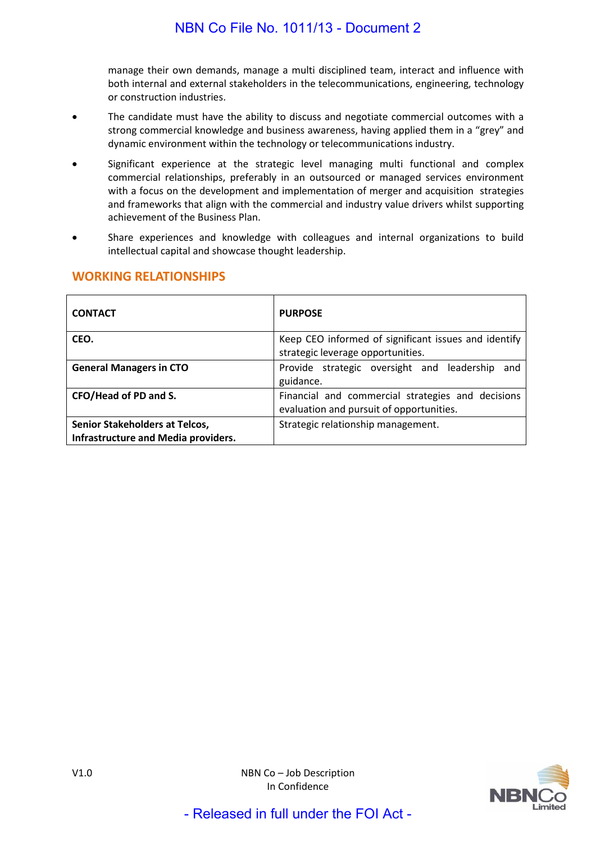manage their own demands, manage a multi disciplined team, interact and influence with both internal and external stakeholders in the telecommunications, engineering, technology or construction industries.

- The candidate must have the ability to discuss and negotiate commercial outcomes with a strong commercial knowledge and business awareness, having applied them in a "grey" and dynamic environment within the technology or telecommunications industry.
- Significant experience at the strategic level managing multi functional and complex commercial relationships, preferably in an outsourced or managed services environment with a focus on the development and implementation of merger and acquisition strategies and frameworks that align with the commercial and industry value drivers whilst supporting achievement of the Business Plan.
- Share experiences and knowledge with colleagues and internal organizations to build intellectual capital and showcase thought leadership.

| <b>CONTACT</b>                                                               | <b>PURPOSE</b>                                                                                |
|------------------------------------------------------------------------------|-----------------------------------------------------------------------------------------------|
| CEO.                                                                         | Keep CEO informed of significant issues and identify<br>strategic leverage opportunities.     |
| <b>General Managers in CTO</b>                                               | Provide strategic oversight and leadership<br>and<br>guidance.                                |
| CFO/Head of PD and S.                                                        | Financial and commercial strategies and decisions<br>evaluation and pursuit of opportunities. |
| <b>Senior Stakeholders at Telcos,</b><br>Infrastructure and Media providers. | Strategic relationship management.                                                            |

# **WORKING RELATIONSHIPS**

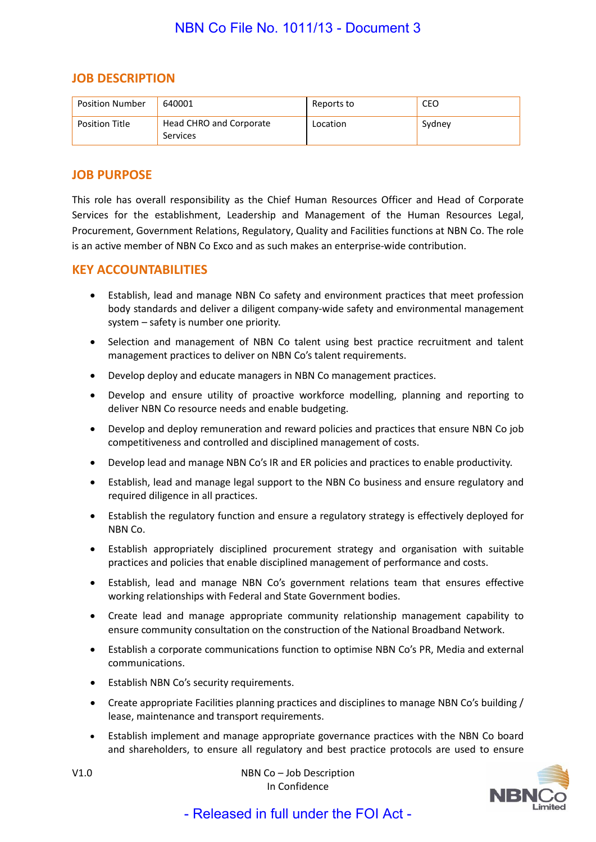### **JOB DESCRIPTION**

| <b>Position Number</b> | 640001                              | Reports to | CEO    |
|------------------------|-------------------------------------|------------|--------|
| <b>Position Title</b>  | Head CHRO and Corporate<br>Services | Location   | Sydney |

### **JOB PURPOSE**

This role has overall responsibility as the Chief Human Resources Officer and Head of Corporate Services for the establishment, Leadership and Management of the Human Resources Legal, Procurement, Government Relations, Regulatory, Quality and Facilities functions at NBN Co. The role is an active member of NBN Co Exco and as such makes an enterprise-wide contribution.

#### **KEY ACCOUNTABILITIES**

- Establish, lead and manage NBN Co safety and environment practices that meet profession body standards and deliver a diligent company-wide safety and environmental management system – safety is number one priority.
- Selection and management of NBN Co talent using best practice recruitment and talent management practices to deliver on NBN Co's talent requirements.
- Develop deploy and educate managers in NBN Co management practices.
- Develop and ensure utility of proactive workforce modelling, planning and reporting to deliver NBN Co resource needs and enable budgeting.
- Develop and deploy remuneration and reward policies and practices that ensure NBN Co job competitiveness and controlled and disciplined management of costs.
- Develop lead and manage NBN Co's IR and ER policies and practices to enable productivity.
- Establish, lead and manage legal support to the NBN Co business and ensure regulatory and required diligence in all practices.
- Establish the regulatory function and ensure a regulatory strategy is effectively deployed for NBN Co.
- Establish appropriately disciplined procurement strategy and organisation with suitable practices and policies that enable disciplined management of performance and costs.
- Establish, lead and manage NBN Co's government relations team that ensures effective working relationships with Federal and State Government bodies.
- Create lead and manage appropriate community relationship management capability to ensure community consultation on the construction of the National Broadband Network.
- Establish a corporate communications function to optimise NBN Co's PR, Media and external communications.
- Establish NBN Co's security requirements.
- Create appropriate Facilities planning practices and disciplines to manage NBN Co's building / lease, maintenance and transport requirements.
- Establish implement and manage appropriate governance practices with the NBN Co board and shareholders, to ensure all regulatory and best practice protocols are used to ensure



V1.0 NBN Co – Job Description In Confidence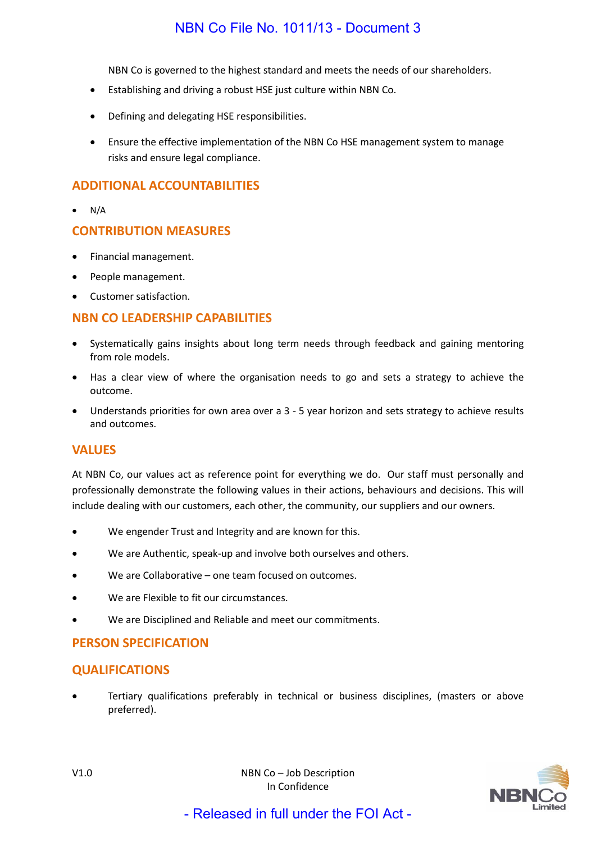NBN Co is governed to the highest standard and meets the needs of our shareholders.

- Establishing and driving a robust HSE just culture within NBN Co.
- Defining and delegating HSE responsibilities.
- Ensure the effective implementation of the NBN Co HSE management system to manage risks and ensure legal compliance.

### **ADDITIONAL ACCOUNTABILITIES**

 $\bullet$  N/A

### **CONTRIBUTION MEASURES**

- Financial management.
- People management.
- Customer satisfaction.

### **NBN CO LEADERSHIP CAPABILITIES**

- Systematically gains insights about long term needs through feedback and gaining mentoring from role models.
- Has a clear view of where the organisation needs to go and sets a strategy to achieve the outcome.
- Understands priorities for own area over a 3 5 year horizon and sets strategy to achieve results and outcomes.

#### **VALUES**

At NBN Co, our values act as reference point for everything we do. Our staff must personally and professionally demonstrate the following values in their actions, behaviours and decisions. This will include dealing with our customers, each other, the community, our suppliers and our owners.

- We engender Trust and Integrity and are known for this.
- We are Authentic, speak-up and involve both ourselves and others.
- We are Collaborative one team focused on outcomes.
- We are Flexible to fit our circumstances.
- We are Disciplined and Reliable and meet our commitments.

### **PERSON SPECIFICATION**

### **QUALIFICATIONS**

• Tertiary qualifications preferably in technical or business disciplines, (masters or above preferred).

In Confidence - Released in full under the FOI Act -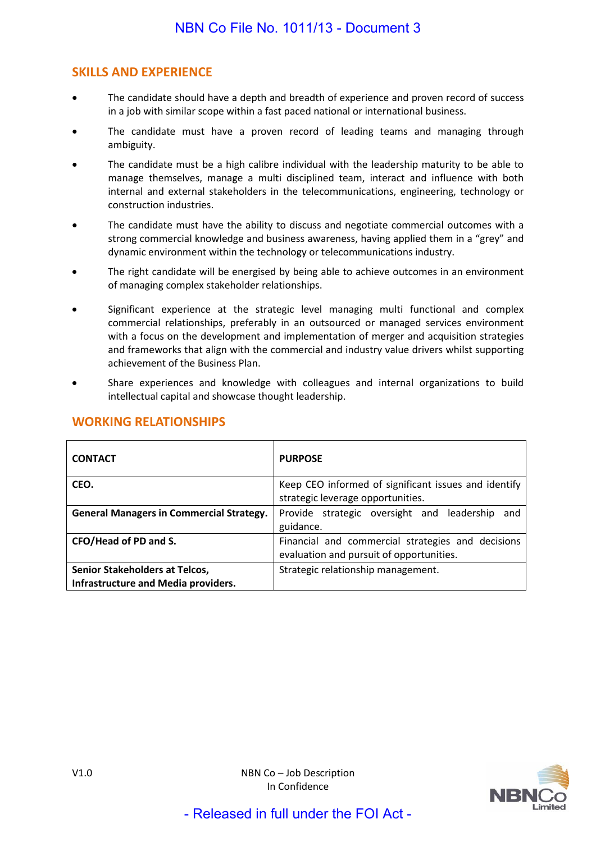# **SKILLS AND EXPERIENCE**

- The candidate should have a depth and breadth of experience and proven record of success in a job with similar scope within a fast paced national or international business.
- The candidate must have a proven record of leading teams and managing through ambiguity.
- The candidate must be a high calibre individual with the leadership maturity to be able to manage themselves, manage a multi disciplined team, interact and influence with both internal and external stakeholders in the telecommunications, engineering, technology or construction industries.
- The candidate must have the ability to discuss and negotiate commercial outcomes with a strong commercial knowledge and business awareness, having applied them in a "grey" and dynamic environment within the technology or telecommunications industry.
- The right candidate will be energised by being able to achieve outcomes in an environment of managing complex stakeholder relationships.
- Significant experience at the strategic level managing multi functional and complex commercial relationships, preferably in an outsourced or managed services environment with a focus on the development and implementation of merger and acquisition strategies and frameworks that align with the commercial and industry value drivers whilst supporting achievement of the Business Plan.
- Share experiences and knowledge with colleagues and internal organizations to build intellectual capital and showcase thought leadership.

| <b>CONTACT</b>                                  | <b>PURPOSE</b>                                       |  |
|-------------------------------------------------|------------------------------------------------------|--|
| CEO.                                            | Keep CEO informed of significant issues and identify |  |
|                                                 | strategic leverage opportunities.                    |  |
| <b>General Managers in Commercial Strategy.</b> | Provide strategic oversight and leadership<br>and    |  |
|                                                 | guidance.                                            |  |
| CFO/Head of PD and S.                           | Financial and commercial strategies and decisions    |  |
|                                                 | evaluation and pursuit of opportunities.             |  |
| Senior Stakeholders at Telcos,                  | Strategic relationship management.                   |  |
| Infrastructure and Media providers.             |                                                      |  |

# **WORKING RELATIONSHIPS**

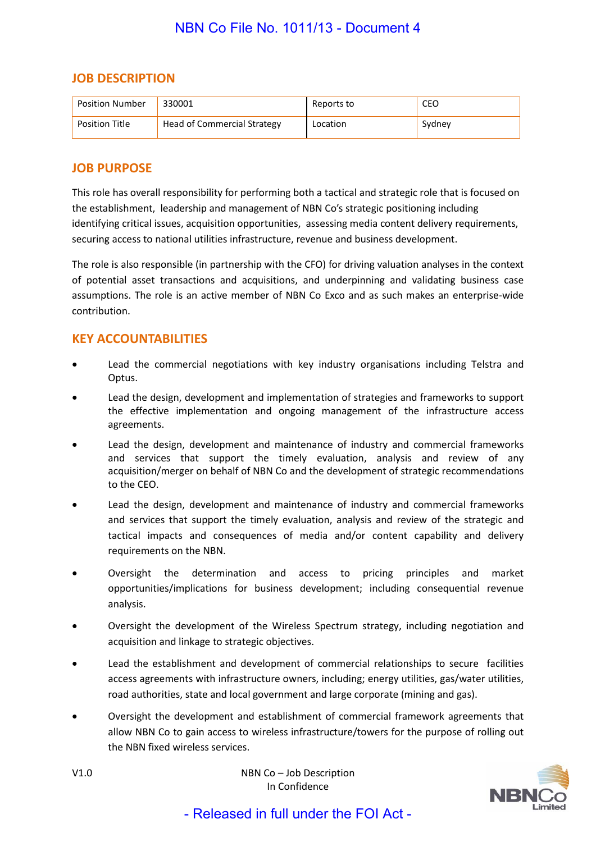### **JOB DESCRIPTION**

| <b>Position Number</b> | 330001                      | Reports to  | CEO    |
|------------------------|-----------------------------|-------------|--------|
| <b>Position Title</b>  | Head of Commercial Strategy | Il Location | Sydney |

### **JOB PURPOSE**

This role has overall responsibility for performing both a tactical and strategic role that is focused on the establishment, leadership and management of NBN Co's strategic positioning including identifying critical issues, acquisition opportunities, assessing media content delivery requirements, securing access to national utilities infrastructure, revenue and business development.

The role is also responsible (in partnership with the CFO) for driving valuation analyses in the context of potential asset transactions and acquisitions, and underpinning and validating business case assumptions. The role is an active member of NBN Co Exco and as such makes an enterprise-wide contribution.

### **KEY ACCOUNTABILITIES**

- Lead the commercial negotiations with key industry organisations including Telstra and Optus.
- Lead the design, development and implementation of strategies and frameworks to support the effective implementation and ongoing management of the infrastructure access agreements.
- Lead the design, development and maintenance of industry and commercial frameworks and services that support the timely evaluation, analysis and review of any acquisition/merger on behalf of NBN Co and the development of strategic recommendations to the CEO.
- Lead the design, development and maintenance of industry and commercial frameworks and services that support the timely evaluation, analysis and review of the strategic and tactical impacts and consequences of media and/or content capability and delivery requirements on the NBN.
- Oversight the determination and access to pricing principles and market opportunities/implications for business development; including consequential revenue analysis.
- Oversight the development of the Wireless Spectrum strategy, including negotiation and acquisition and linkage to strategic objectives.
- Lead the establishment and development of commercial relationships to secure facilities access agreements with infrastructure owners, including; energy utilities, gas/water utilities, road authorities, state and local government and large corporate (mining and gas).
- Oversight the development and establishment of commercial framework agreements that allow NBN Co to gain access to wireless infrastructure/towers for the purpose of rolling out the NBN fixed wireless services.



V1.0 NBN Co – Job Description In Confidence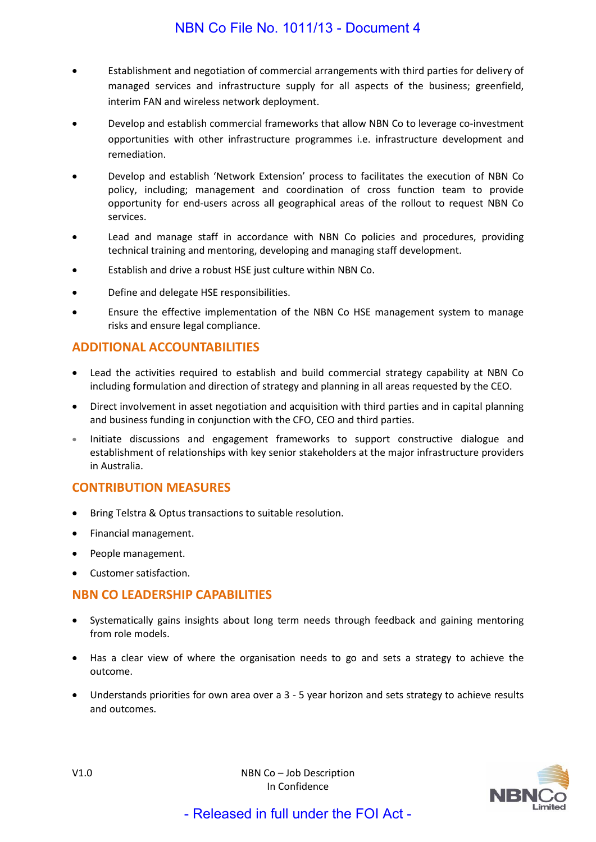- Establishment and negotiation of commercial arrangements with third parties for delivery of managed services and infrastructure supply for all aspects of the business; greenfield, interim FAN and wireless network deployment.
- Develop and establish commercial frameworks that allow NBN Co to leverage co-investment opportunities with other infrastructure programmes i.e. infrastructure development and remediation.
- Develop and establish 'Network Extension' process to facilitates the execution of NBN Co policy, including; management and coordination of cross function team to provide opportunity for end-users across all geographical areas of the rollout to request NBN Co services.
- Lead and manage staff in accordance with NBN Co policies and procedures, providing technical training and mentoring, developing and managing staff development.
- Establish and drive a robust HSE just culture within NBN Co.
- Define and delegate HSE responsibilities.
- Ensure the effective implementation of the NBN Co HSE management system to manage risks and ensure legal compliance.

### **ADDITIONAL ACCOUNTABILITIES**

- Lead the activities required to establish and build commercial strategy capability at NBN Co including formulation and direction of strategy and planning in all areas requested by the CEO.
- Direct involvement in asset negotiation and acquisition with third parties and in capital planning and business funding in conjunction with the CFO, CEO and third parties.
- Initiate discussions and engagement frameworks to support constructive dialogue and establishment of relationships with key senior stakeholders at the major infrastructure providers in Australia.

### **CONTRIBUTION MEASURES**

- Bring Telstra & Optus transactions to suitable resolution.
- Financial management.
- People management.
- Customer satisfaction.

### **NBN CO LEADERSHIP CAPABILITIES**

- Systematically gains insights about long term needs through feedback and gaining mentoring from role models.
- Has a clear view of where the organisation needs to go and sets a strategy to achieve the outcome.
- Understands priorities for own area over a 3 5 year horizon and sets strategy to achieve results and outcomes.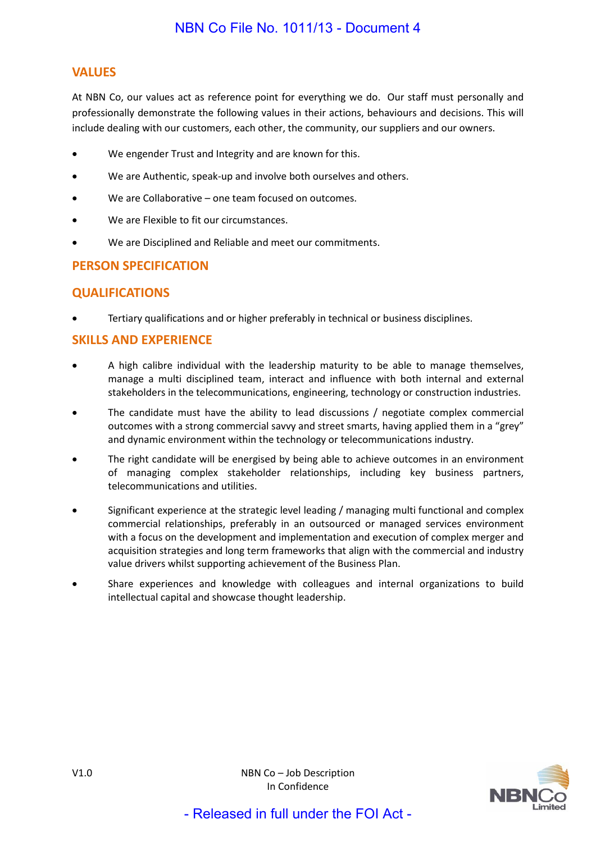# **VALUES**

At NBN Co, our values act as reference point for everything we do. Our staff must personally and professionally demonstrate the following values in their actions, behaviours and decisions. This will include dealing with our customers, each other, the community, our suppliers and our owners.

- We engender Trust and Integrity and are known for this.
- We are Authentic, speak-up and involve both ourselves and others.
- We are Collaborative one team focused on outcomes.
- We are Flexible to fit our circumstances.
- We are Disciplined and Reliable and meet our commitments.

# **PERSON SPECIFICATION**

# **QUALIFICATIONS**

• Tertiary qualifications and or higher preferably in technical or business disciplines.

# **SKILLS AND EXPERIENCE**

- A high calibre individual with the leadership maturity to be able to manage themselves, manage a multi disciplined team, interact and influence with both internal and external stakeholders in the telecommunications, engineering, technology or construction industries.
- The candidate must have the ability to lead discussions / negotiate complex commercial outcomes with a strong commercial savvy and street smarts, having applied them in a "grey" and dynamic environment within the technology or telecommunications industry.
- The right candidate will be energised by being able to achieve outcomes in an environment of managing complex stakeholder relationships, including key business partners, telecommunications and utilities.
- Significant experience at the strategic level leading / managing multi functional and complex commercial relationships, preferably in an outsourced or managed services environment with a focus on the development and implementation and execution of complex merger and acquisition strategies and long term frameworks that align with the commercial and industry value drivers whilst supporting achievement of the Business Plan.
- Share experiences and knowledge with colleagues and internal organizations to build intellectual capital and showcase thought leadership.

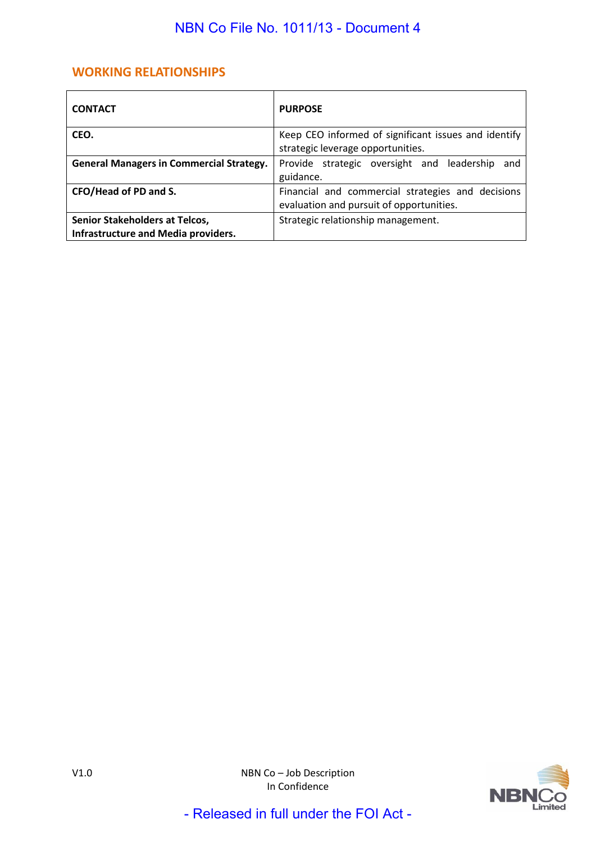# **WORKING RELATIONSHIPS**

| <b>CONTACT</b>                                                               | <b>PURPOSE</b>                                                                                |  |
|------------------------------------------------------------------------------|-----------------------------------------------------------------------------------------------|--|
| CEO.                                                                         | Keep CEO informed of significant issues and identify                                          |  |
|                                                                              | strategic leverage opportunities.                                                             |  |
| <b>General Managers in Commercial Strategy.</b>                              | Provide strategic oversight and leadership<br>and                                             |  |
|                                                                              | guidance.                                                                                     |  |
| CFO/Head of PD and S.                                                        | Financial and commercial strategies and decisions<br>evaluation and pursuit of opportunities. |  |
| Senior Stakeholders at Telcos,<br><b>Infrastructure and Media providers.</b> | Strategic relationship management.                                                            |  |

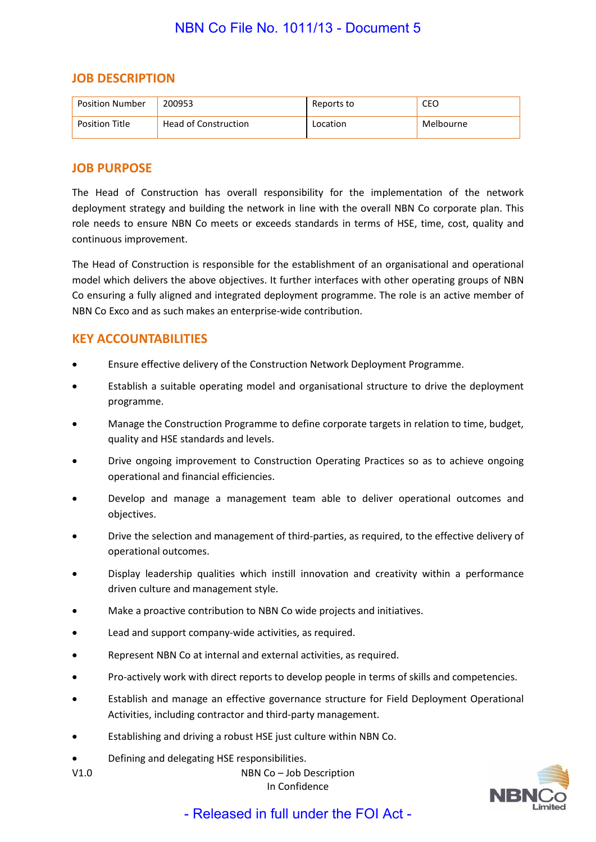### **JOB DESCRIPTION**

| <b>Position Number</b> | 200953               | Reports to | CEO       |
|------------------------|----------------------|------------|-----------|
| <b>Position Title</b>  | Head of Construction | Location   | Melbourne |

### **JOB PURPOSE**

The Head of Construction has overall responsibility for the implementation of the network deployment strategy and building the network in line with the overall NBN Co corporate plan. This role needs to ensure NBN Co meets or exceeds standards in terms of HSE, time, cost, quality and continuous improvement.

The Head of Construction is responsible for the establishment of an organisational and operational model which delivers the above objectives. It further interfaces with other operating groups of NBN Co ensuring a fully aligned and integrated deployment programme. The role is an active member of NBN Co Exco and as such makes an enterprise-wide contribution.

# **KEY ACCOUNTABILITIES**

- Ensure effective delivery of the Construction Network Deployment Programme.
- Establish a suitable operating model and organisational structure to drive the deployment programme.
- Manage the Construction Programme to define corporate targets in relation to time, budget, quality and HSE standards and levels.
- Drive ongoing improvement to Construction Operating Practices so as to achieve ongoing operational and financial efficiencies.
- Develop and manage a management team able to deliver operational outcomes and objectives.
- Drive the selection and management of third-parties, as required, to the effective delivery of operational outcomes.
- Display leadership qualities which instill innovation and creativity within a performance driven culture and management style.
- Make a proactive contribution to NBN Co wide projects and initiatives.
- Lead and support company-wide activities, as required.
- Represent NBN Co at internal and external activities, as required.
- Pro-actively work with direct reports to develop people in terms of skills and competencies.
- Establish and manage an effective governance structure for Field Deployment Operational Activities, including contractor and third-party management.
- Establishing and driving a robust HSE just culture within NBN Co.
- Defining and delegating HSE responsibilities.
- V1.0 NBN Co Job Description In Confidence

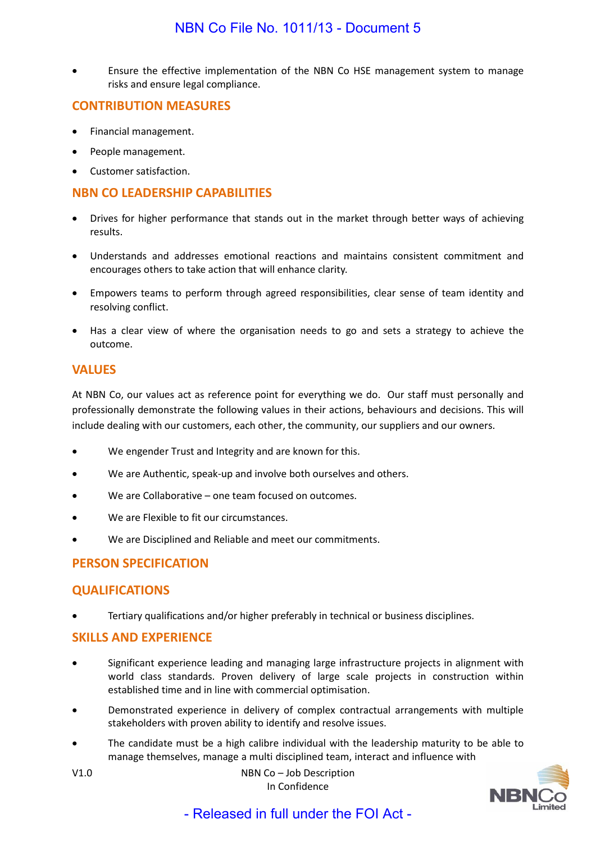• Ensure the effective implementation of the NBN Co HSE management system to manage risks and ensure legal compliance.

### **CONTRIBUTION MEASURES**

- Financial management.
- People management.
- Customer satisfaction.

### **NBN CO LEADERSHIP CAPABILITIES**

- Drives for higher performance that stands out in the market through better ways of achieving results.
- Understands and addresses emotional reactions and maintains consistent commitment and encourages others to take action that will enhance clarity.
- Empowers teams to perform through agreed responsibilities, clear sense of team identity and resolving conflict.
- Has a clear view of where the organisation needs to go and sets a strategy to achieve the outcome.

#### **VALUES**

At NBN Co, our values act as reference point for everything we do. Our staff must personally and professionally demonstrate the following values in their actions, behaviours and decisions. This will include dealing with our customers, each other, the community, our suppliers and our owners.

- We engender Trust and Integrity and are known for this.
- We are Authentic, speak-up and involve both ourselves and others.
- We are Collaborative one team focused on outcomes.
- We are Flexible to fit our circumstances.
- We are Disciplined and Reliable and meet our commitments.

# **PERSON SPECIFICATION**

### **QUALIFICATIONS**

• Tertiary qualifications and/or higher preferably in technical or business disciplines.

### **SKILLS AND EXPERIENCE**

- Significant experience leading and managing large infrastructure projects in alignment with world class standards. Proven delivery of large scale projects in construction within established time and in line with commercial optimisation.
- Demonstrated experience in delivery of complex contractual arrangements with multiple stakeholders with proven ability to identify and resolve issues.
- The candidate must be a high calibre individual with the leadership maturity to be able to manage themselves, manage a multi disciplined team, interact and influence with
- V1.0 NBN Co Job Description In Confidence

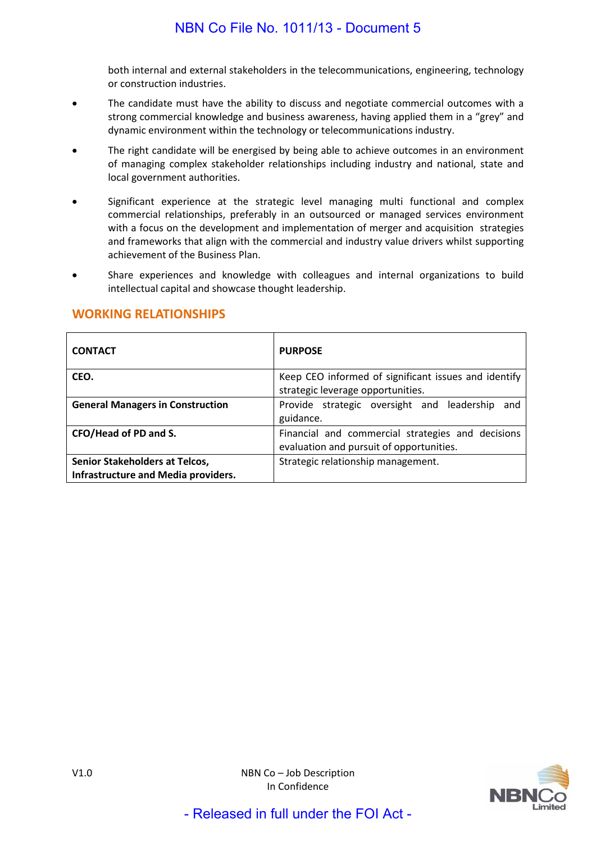both internal and external stakeholders in the telecommunications, engineering, technology or construction industries.

- The candidate must have the ability to discuss and negotiate commercial outcomes with a strong commercial knowledge and business awareness, having applied them in a "grey" and dynamic environment within the technology or telecommunications industry.
- The right candidate will be energised by being able to achieve outcomes in an environment of managing complex stakeholder relationships including industry and national, state and local government authorities.
- Significant experience at the strategic level managing multi functional and complex commercial relationships, preferably in an outsourced or managed services environment with a focus on the development and implementation of merger and acquisition strategies and frameworks that align with the commercial and industry value drivers whilst supporting achievement of the Business Plan.
- Share experiences and knowledge with colleagues and internal organizations to build intellectual capital and showcase thought leadership.

| <b>CONTACT</b>                                                               | <b>PURPOSE</b>                                                                                |
|------------------------------------------------------------------------------|-----------------------------------------------------------------------------------------------|
| CEO.                                                                         | Keep CEO informed of significant issues and identify<br>strategic leverage opportunities.     |
| <b>General Managers in Construction</b>                                      | Provide strategic oversight and leadership<br>and<br>guidance.                                |
| CFO/Head of PD and S.                                                        | Financial and commercial strategies and decisions<br>evaluation and pursuit of opportunities. |
| Senior Stakeholders at Telcos,<br><b>Infrastructure and Media providers.</b> | Strategic relationship management.                                                            |

# **WORKING RELATIONSHIPS**

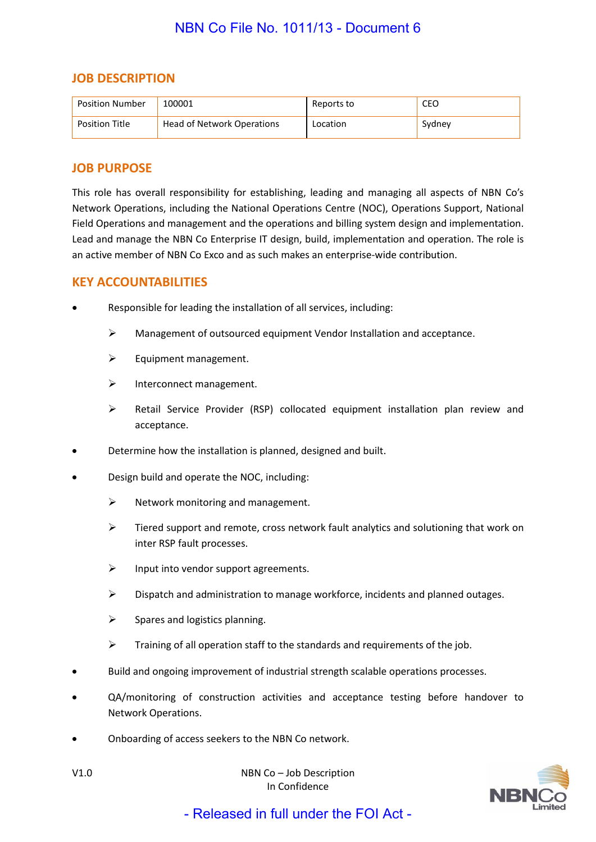### **JOB DESCRIPTION**

| Position Number       | 100001                     | Reports to | CEO    |
|-----------------------|----------------------------|------------|--------|
| <b>Position Title</b> | Head of Network Operations | Location   | Sydney |

### **JOB PURPOSE**

This role has overall responsibility for establishing, leading and managing all aspects of NBN Co's Network Operations, including the National Operations Centre (NOC), Operations Support, National Field Operations and management and the operations and billing system design and implementation. Lead and manage the NBN Co Enterprise IT design, build, implementation and operation. The role is an active member of NBN Co Exco and as such makes an enterprise-wide contribution.

### **KEY ACCOUNTABILITIES**

- Responsible for leading the installation of all services, including:
	- Management of outsourced equipment Vendor Installation and acceptance.
	- $\triangleright$  Equipment management.
	- $\triangleright$  Interconnect management.
	- Retail Service Provider (RSP) collocated equipment installation plan review and acceptance.
- Determine how the installation is planned, designed and built.
- Design build and operate the NOC, including:
	- $\triangleright$  Network monitoring and management.
	- $\triangleright$  Tiered support and remote, cross network fault analytics and solutioning that work on inter RSP fault processes.
	- $\triangleright$  Input into vendor support agreements.
	- $\triangleright$  Dispatch and administration to manage workforce, incidents and planned outages.
	- $\triangleright$  Spares and logistics planning.
	- $\triangleright$  Training of all operation staff to the standards and requirements of the job.
- Build and ongoing improvement of industrial strength scalable operations processes.
- QA/monitoring of construction activities and acceptance testing before handover to Network Operations.
- Onboarding of access seekers to the NBN Co network.



V1.0 NBN Co – Job Description In Confidence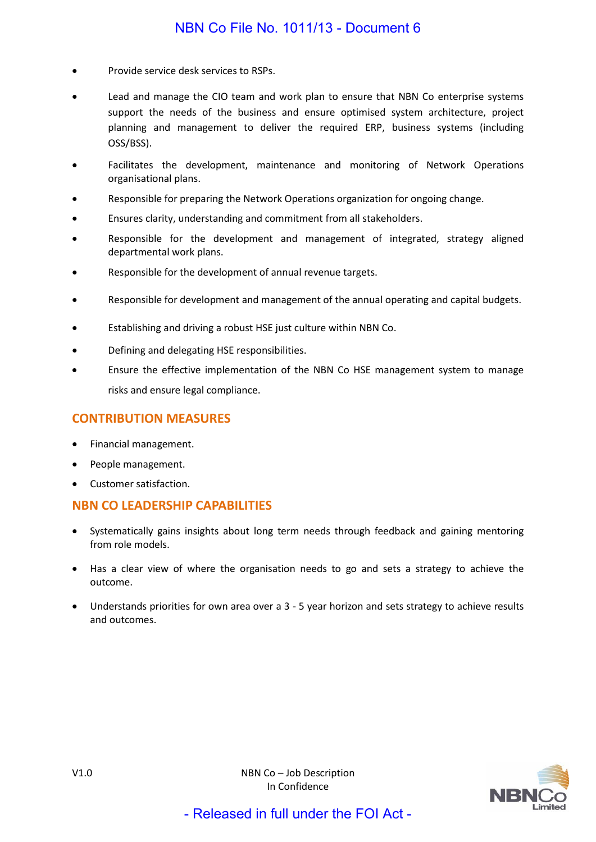- Provide service desk services to RSPs.
- Lead and manage the CIO team and work plan to ensure that NBN Co enterprise systems support the needs of the business and ensure optimised system architecture, project planning and management to deliver the required ERP, business systems (including OSS/BSS).
- Facilitates the development, maintenance and monitoring of Network Operations organisational plans.
- Responsible for preparing the Network Operations organization for ongoing change.
- Ensures clarity, understanding and commitment from all stakeholders.
- Responsible for the development and management of integrated, strategy aligned departmental work plans.
- Responsible for the development of annual revenue targets.
- Responsible for development and management of the annual operating and capital budgets.
- Establishing and driving a robust HSE just culture within NBN Co.
- Defining and delegating HSE responsibilities.
- Ensure the effective implementation of the NBN Co HSE management system to manage risks and ensure legal compliance.

#### **CONTRIBUTION MEASURES**

- Financial management.
- People management.
- Customer satisfaction.

### **NBN CO LEADERSHIP CAPABILITIES**

- Systematically gains insights about long term needs through feedback and gaining mentoring from role models.
- Has a clear view of where the organisation needs to go and sets a strategy to achieve the outcome.
- Understands priorities for own area over a 3 5 year horizon and sets strategy to achieve results and outcomes.

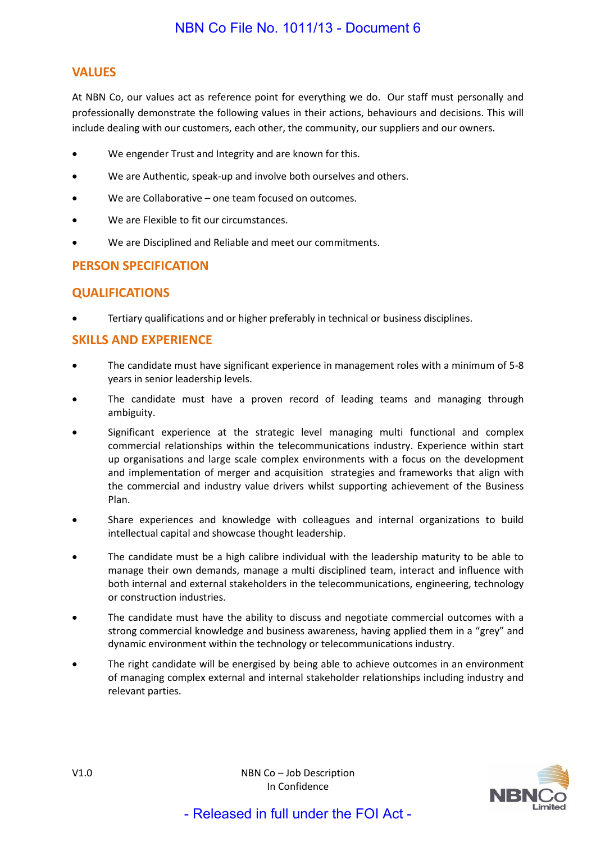# **VALUES**

At NBN Co, our values act as reference point for everything we do. Our staff must personally and professionally demonstrate the following values in their actions, behaviours and decisions. This will include dealing with our customers, each other, the community, our suppliers and our owners.

- We engender Trust and Integrity and are known for this.
- We are Authentic, speak-up and involve both ourselves and others.
- We are Collaborative one team focused on outcomes.
- We are Flexible to fit our circumstances.
- We are Disciplined and Reliable and meet our commitments.

# **PERSON SPECIFICATION**

# **QUALIFICATIONS**

• Tertiary qualifications and or higher preferably in technical or business disciplines.

### **SKILLS AND EXPERIENCE**

- The candidate must have significant experience in management roles with a minimum of 5-8 years in senior leadership levels.
- The candidate must have a proven record of leading teams and managing through ambiguity.
- Significant experience at the strategic level managing multi functional and complex commercial relationships within the telecommunications industry. Experience within start up organisations and large scale complex environments with a focus on the development and implementation of merger and acquisition strategies and frameworks that align with the commercial and industry value drivers whilst supporting achievement of the Business Plan.
- Share experiences and knowledge with colleagues and internal organizations to build intellectual capital and showcase thought leadership.
- The candidate must be a high calibre individual with the leadership maturity to be able to manage their own demands, manage a multi disciplined team, interact and influence with both internal and external stakeholders in the telecommunications, engineering, technology or construction industries.
- The candidate must have the ability to discuss and negotiate commercial outcomes with a strong commercial knowledge and business awareness, having applied them in a "grey" and dynamic environment within the technology or telecommunications industry.
- The right candidate will be energised by being able to achieve outcomes in an environment of managing complex external and internal stakeholder relationships including industry and relevant parties.

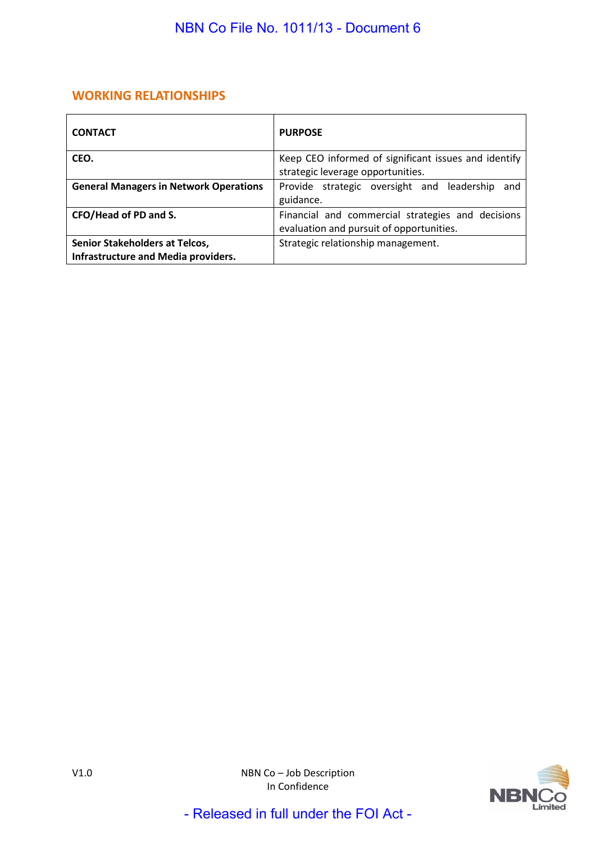# **WORKING RELATIONSHIPS**

| <b>CONTACT</b>                                                                      | <b>PURPOSE</b>                                                                                |
|-------------------------------------------------------------------------------------|-----------------------------------------------------------------------------------------------|
| CEO.                                                                                | Keep CEO informed of significant issues and identify<br>strategic leverage opportunities.     |
| <b>General Managers in Network Operations</b>                                       | Provide strategic oversight and leadership<br>and<br>guidance.                                |
| CFO/Head of PD and S.                                                               | Financial and commercial strategies and decisions<br>evaluation and pursuit of opportunities. |
| <b>Senior Stakeholders at Telcos,</b><br><b>Infrastructure and Media providers.</b> | Strategic relationship management.                                                            |

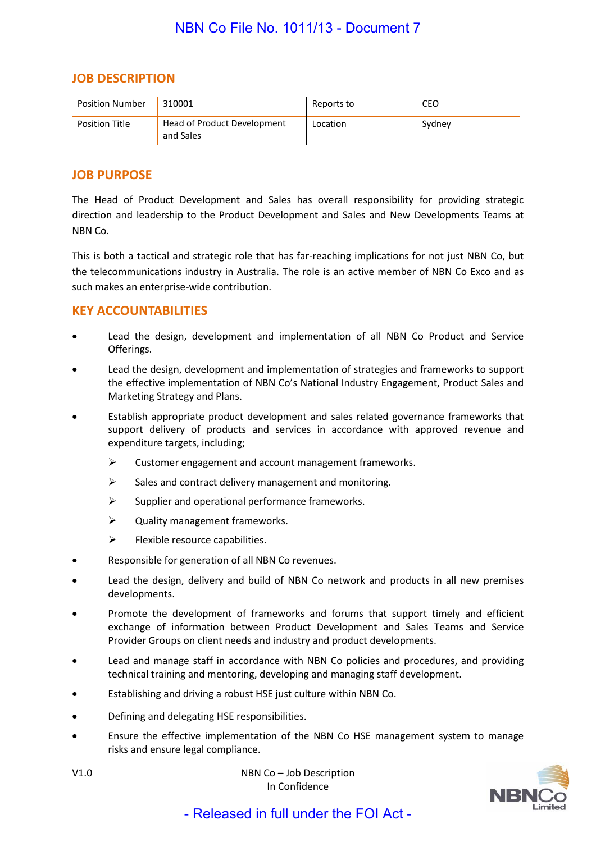### **JOB DESCRIPTION**

| <b>Position Number</b> | 310001                                   | Reports to      | CEO    |
|------------------------|------------------------------------------|-----------------|--------|
| <b>Position Title</b>  | Head of Product Development<br>and Sales | <b>Location</b> | Sydney |

### **JOB PURPOSE**

The Head of Product Development and Sales has overall responsibility for providing strategic direction and leadership to the Product Development and Sales and New Developments Teams at NBN Co.

This is both a tactical and strategic role that has far-reaching implications for not just NBN Co, but the telecommunications industry in Australia. The role is an active member of NBN Co Exco and as such makes an enterprise-wide contribution.

### **KEY ACCOUNTABILITIES**

- Lead the design, development and implementation of all NBN Co Product and Service Offerings.
- Lead the design, development and implementation of strategies and frameworks to support the effective implementation of NBN Co's National Industry Engagement, Product Sales and Marketing Strategy and Plans.
- Establish appropriate product development and sales related governance frameworks that support delivery of products and services in accordance with approved revenue and expenditure targets, including;
	- $\triangleright$  Customer engagement and account management frameworks.
	- $\triangleright$  Sales and contract delivery management and monitoring.
	- $\triangleright$  Supplier and operational performance frameworks.
	- $\triangleright$  Quality management frameworks.
	- $\triangleright$  Flexible resource capabilities.
- Responsible for generation of all NBN Co revenues.
- Lead the design, delivery and build of NBN Co network and products in all new premises developments.
- Promote the development of frameworks and forums that support timely and efficient exchange of information between Product Development and Sales Teams and Service Provider Groups on client needs and industry and product developments.
- Lead and manage staff in accordance with NBN Co policies and procedures, and providing technical training and mentoring, developing and managing staff development.
- Establishing and driving a robust HSE just culture within NBN Co.
- Defining and delegating HSE responsibilities.
- Ensure the effective implementation of the NBN Co HSE management system to manage risks and ensure legal compliance.



V1.0 NBN Co – Job Description In Confidence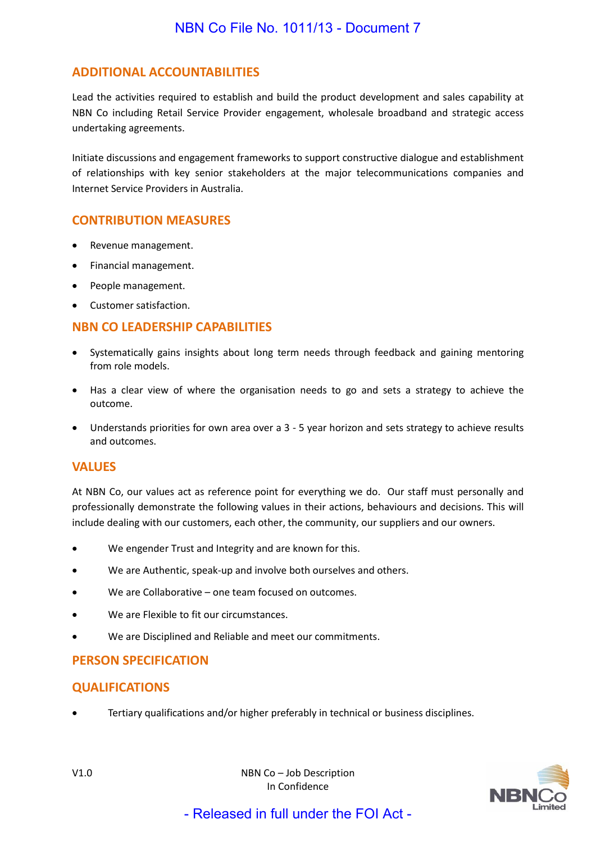# **ADDITIONAL ACCOUNTABILITIES**

Lead the activities required to establish and build the product development and sales capability at NBN Co including Retail Service Provider engagement, wholesale broadband and strategic access undertaking agreements.

Initiate discussions and engagement frameworks to support constructive dialogue and establishment of relationships with key senior stakeholders at the major telecommunications companies and Internet Service Providers in Australia.

### **CONTRIBUTION MEASURES**

- Revenue management.
- Financial management.
- People management.
- Customer satisfaction.

# **NBN CO LEADERSHIP CAPABILITIES**

- Systematically gains insights about long term needs through feedback and gaining mentoring from role models.
- Has a clear view of where the organisation needs to go and sets a strategy to achieve the outcome.
- Understands priorities for own area over a 3 5 year horizon and sets strategy to achieve results and outcomes.

### **VALUES**

At NBN Co, our values act as reference point for everything we do. Our staff must personally and professionally demonstrate the following values in their actions, behaviours and decisions. This will include dealing with our customers, each other, the community, our suppliers and our owners.

- We engender Trust and Integrity and are known for this.
- We are Authentic, speak-up and involve both ourselves and others.
- We are Collaborative one team focused on outcomes.
- We are Flexible to fit our circumstances.
- We are Disciplined and Reliable and meet our commitments.

### **PERSON SPECIFICATION**

### **QUALIFICATIONS**

• Tertiary qualifications and/or higher preferably in technical or business disciplines.

V1.0 NBN Co – Job Description In Confidence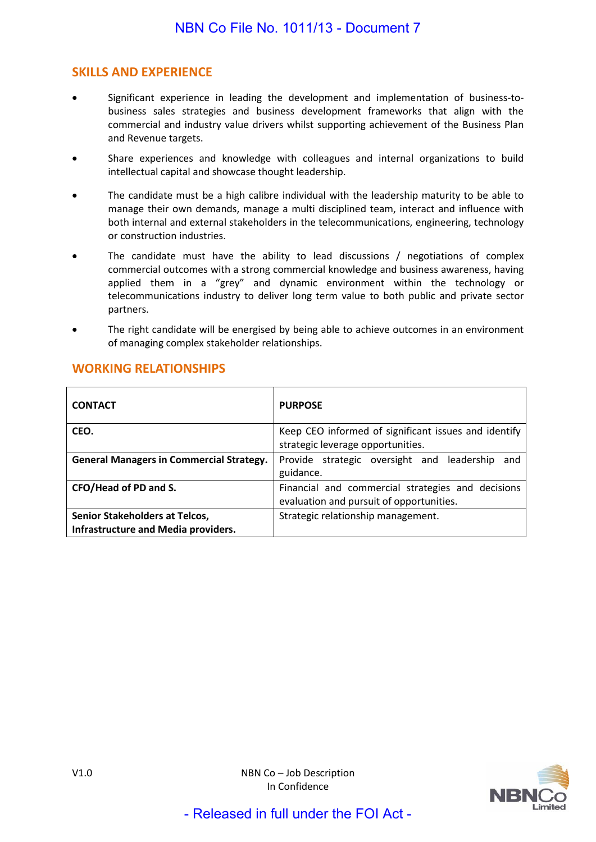# **SKILLS AND EXPERIENCE**

- Significant experience in leading the development and implementation of business-tobusiness sales strategies and business development frameworks that align with the commercial and industry value drivers whilst supporting achievement of the Business Plan and Revenue targets.
- Share experiences and knowledge with colleagues and internal organizations to build intellectual capital and showcase thought leadership.
- The candidate must be a high calibre individual with the leadership maturity to be able to manage their own demands, manage a multi disciplined team, interact and influence with both internal and external stakeholders in the telecommunications, engineering, technology or construction industries.
- The candidate must have the ability to lead discussions / negotiations of complex commercial outcomes with a strong commercial knowledge and business awareness, having applied them in a "grey" and dynamic environment within the technology or telecommunications industry to deliver long term value to both public and private sector partners.
- The right candidate will be energised by being able to achieve outcomes in an environment of managing complex stakeholder relationships.

| <b>CONTACT</b>                                  | <b>PURPOSE</b>                                       |
|-------------------------------------------------|------------------------------------------------------|
| CEO.                                            | Keep CEO informed of significant issues and identify |
|                                                 | strategic leverage opportunities.                    |
| <b>General Managers in Commercial Strategy.</b> | Provide strategic oversight and leadership and       |
|                                                 | guidance.                                            |
| CFO/Head of PD and S.                           | Financial and commercial strategies and decisions    |
|                                                 | evaluation and pursuit of opportunities.             |
| Senior Stakeholders at Telcos,                  | Strategic relationship management.                   |
| Infrastructure and Media providers.             |                                                      |

# **WORKING RELATIONSHIPS**

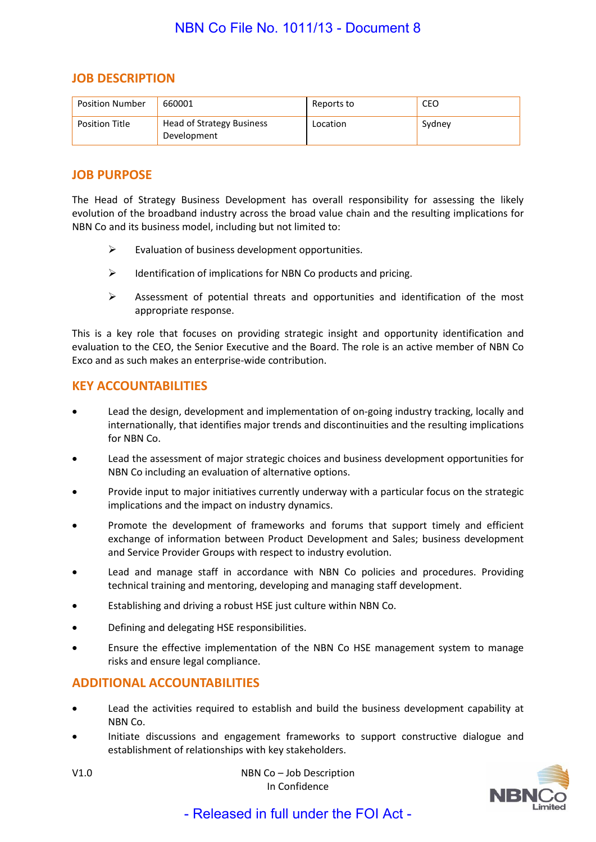### **JOB DESCRIPTION**

| <b>Position Number</b> | 660001                                   | Reports to | CEO    |
|------------------------|------------------------------------------|------------|--------|
| <b>Position Title</b>  | Head of Strategy Business<br>Development | Location   | Sydney |

### **JOB PURPOSE**

The Head of Strategy Business Development has overall responsibility for assessing the likely evolution of the broadband industry across the broad value chain and the resulting implications for NBN Co and its business model, including but not limited to:

- $\triangleright$  Evaluation of business development opportunities.
- $\triangleright$  Identification of implications for NBN Co products and pricing.
- $\triangleright$  Assessment of potential threats and opportunities and identification of the most appropriate response.

This is a key role that focuses on providing strategic insight and opportunity identification and evaluation to the CEO, the Senior Executive and the Board. The role is an active member of NBN Co Exco and as such makes an enterprise-wide contribution.

### **KEY ACCOUNTABILITIES**

- Lead the design, development and implementation of on-going industry tracking, locally and internationally, that identifies major trends and discontinuities and the resulting implications for NBN Co.
- Lead the assessment of major strategic choices and business development opportunities for NBN Co including an evaluation of alternative options.
- Provide input to major initiatives currently underway with a particular focus on the strategic implications and the impact on industry dynamics.
- Promote the development of frameworks and forums that support timely and efficient exchange of information between Product Development and Sales; business development and Service Provider Groups with respect to industry evolution.
- Lead and manage staff in accordance with NBN Co policies and procedures. Providing technical training and mentoring, developing and managing staff development.
- Establishing and driving a robust HSE just culture within NBN Co.
- Defining and delegating HSE responsibilities.
- Ensure the effective implementation of the NBN Co HSE management system to manage risks and ensure legal compliance.

### **ADDITIONAL ACCOUNTABILITIES**

- Lead the activities required to establish and build the business development capability at NBN Co.
- Initiate discussions and engagement frameworks to support constructive dialogue and establishment of relationships with key stakeholders.



V1.0 NBN Co – Job Description In Confidence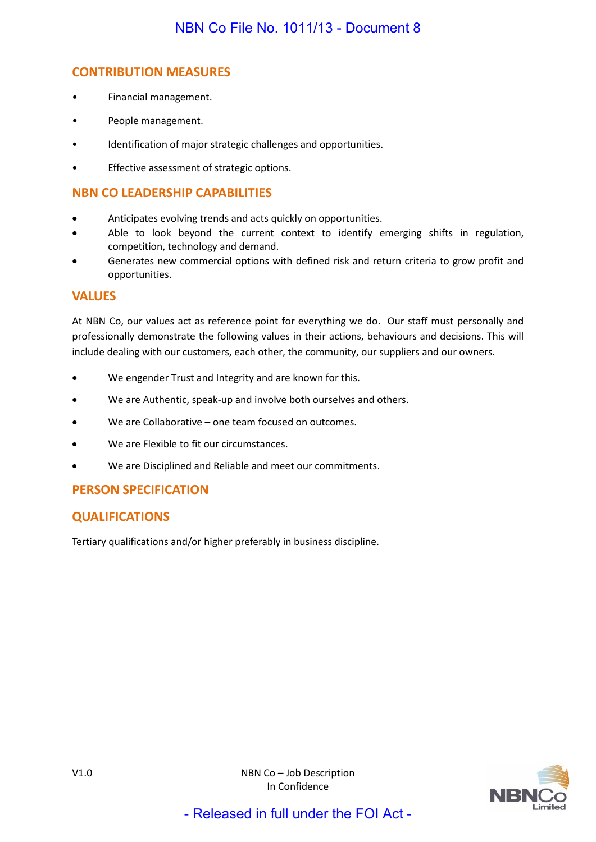# **CONTRIBUTION MEASURES**

- Financial management.
- People management.
- Identification of major strategic challenges and opportunities.
- Effective assessment of strategic options.

# **NBN CO LEADERSHIP CAPABILITIES**

- Anticipates evolving trends and acts quickly on opportunities.
- Able to look beyond the current context to identify emerging shifts in regulation, competition, technology and demand.
- Generates new commercial options with defined risk and return criteria to grow profit and opportunities.

# **VALUES**

At NBN Co, our values act as reference point for everything we do. Our staff must personally and professionally demonstrate the following values in their actions, behaviours and decisions. This will include dealing with our customers, each other, the community, our suppliers and our owners.

- We engender Trust and Integrity and are known for this.
- We are Authentic, speak-up and involve both ourselves and others.
- We are Collaborative one team focused on outcomes.
- We are Flexible to fit our circumstances.
- We are Disciplined and Reliable and meet our commitments.

# **PERSON SPECIFICATION**

# **QUALIFICATIONS**

Tertiary qualifications and/or higher preferably in business discipline.